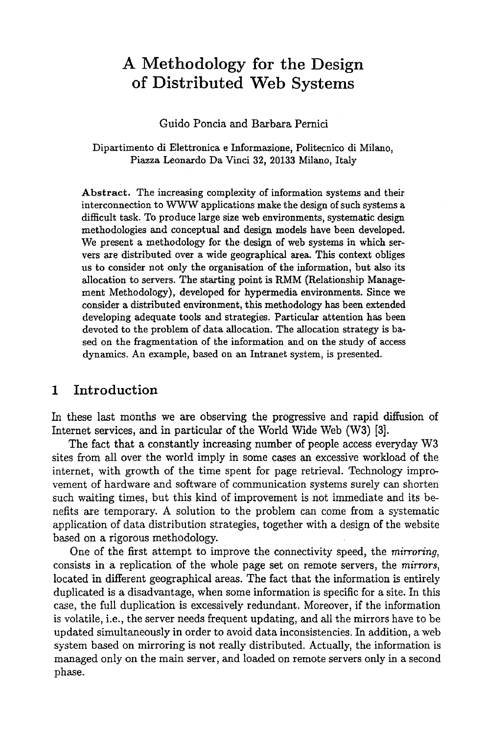# **A Methodology for the Design of Distributed Web Systems**

Guido Poncia and Barbara Pernici

#### Dipartimento di Elettronica e Informazione, Politecnico di Milano, Piazza Leonardo Da Vinci 32, 20133 Milano, Italy

Abstract. The increasing complexity of information systems and their interconnection to WWW applications make the design of such systems a difficult task. To produce large size web environments, systematic design methodologies and conceptual and design models have been developed. We present a methodology for the design of web systems in which servers are distributed over a wide geographical area. This context obliges us to consider not only the organisation of the information, but also its allocation to servers. The starting point is RMM (Relationship Management Methodology), developed for hypermedia environments. Since we consider a distributed environment, this methodology has been extended developing adequate tools and strategies. Particular attention has been devoted to the problem of data allocation. The allocation strategy is based on the fragmentation of the information and on the study of access dynamics. An example, based on an Intranet system, is presented.

### **1 Introduction**

In these last months we are observing the progressive and rapid diffusion of Internet services, and in particular of the World Wide Web (W3) [3].

The fact that a constantly increasing number of people access everyday W3 sites from all over the world imply in some cases an excessive workload of the internet, with growth of the time spent for page retrieval. Technology improvement of hardware and software of communication systems surely can shorten such waiting times, but this kind of improvement is not immediate and its benefits are temporary. A solution to the problem can come from a systematic application of data distribution strategies, together with a design of the website based on a rigorous methodology.

One of the first attempt to improve the connectivity speed, the *mirroring,*  consists in a replication of the whole page set on remote servers, the *mirrors,*  located in different geographical areas. The fact that the information is entirely duplicated is a disadvantage, when some information is specific for a site. In this case, the full duplication is excessively redundant. Moreover, if the information is volatile, i.e., the server needs frequent updating, and all the mirrors have to be updated simultaneously in order to avoid data inconsistencies. In addition, a web system based on mirroring is not really distributed. Actually, the information is managed only on the main server, and loaded on remote servers only in a second phase.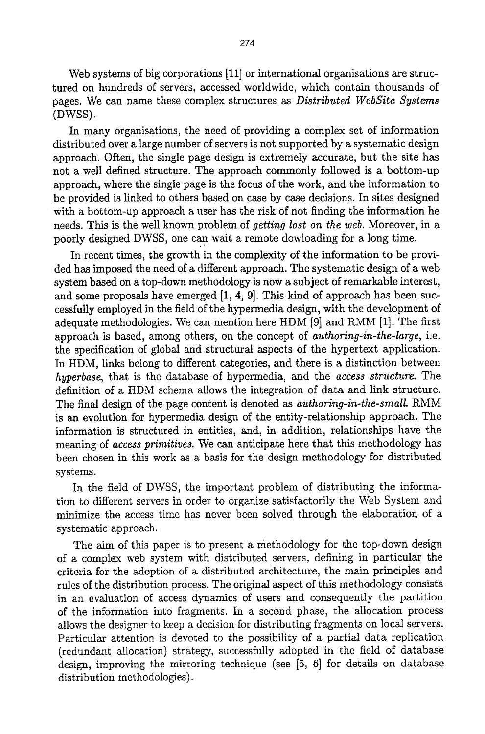Web systems of big corporations [11] or international organisations are structured on hundreds of servers, accessed worldwide, which contain thousands of pages. We can name these complex structures as *Distributed WebSite Systems*  (DWSS).

In many organisations, the need of providing a complex set of information distributed over a large number of servers is not supported by a systematic design approach. Often, the single page design is extremely accurate, but the site has not a well defined structure. The approach commonly followed is a bottom-up approach, where the single page is the focus of the work, and the information to be provided is linked to others based on case by case decisions. In sites designed with a bottom-up approach a user has the risk of not finding the information he needs. This is the well known problem of *getting lost on the web.* Moreover, in a poorly designed DWSS, one can wait a remote dowloading for a long time.

In recent times, the growth in the complexity of the information to be provided has imposed the need of a different approach. The systematic design of a web system based on a top-down methodology is now a subject of remarkable interest, and some proposals have emerged [1, 4, 9]. This kind of approach has been successfully employed in the field of the hypermedia design, with the development of adequate methodologies. We can mention here HDM [9] and RMM [1]. The first approach is based, among others, on the concept of *authoring-in-the-large,* i.e. the specification of global and structural aspects of the hypertext application. In HDM, links belong to different categories, and there is a distinction between *hyperbase,* that is the database of hypermedia, and the *access structure.* The definition of a HDM schema allows the integration of data and link structure. The final design of the page content is denoted as *authoring-in-the-small. RMM*  is an evolution for hypermedia design of the entity-relationship approach. The information is structured in entities, and, in addition, relationships have the meaning of *access primitives.* We can anticipate here that this methodology has been chosen in this work as a basis for the design methodology for distributed systems.

In the field of DWSS, the important problem of distributing the information to different servers in order to organize satisfactorily the Web System and minimize the access time has never been solved through the elaboration of a systematic approach.

The aim of this paper is to present a methodology for the top-down design of a complex web system with distributed servers, defining in particular the criteria for the adoption of a distributed architecture, the main principles and rules of the distribution process. The original aspect of this methodology consists in an evaluation of access dynamics of users and consequently the partition of the information into fragments. In a second phase, the allocation process allows the designer to keep a decision for distributing fragments on local servers. Particular attention is devoted to the possibility of a partial data replication (redundant allocation) strategy, successfully adopted in the field of database design, improving the mirroring technique (see [5, 6] for details on database distribution methodologies).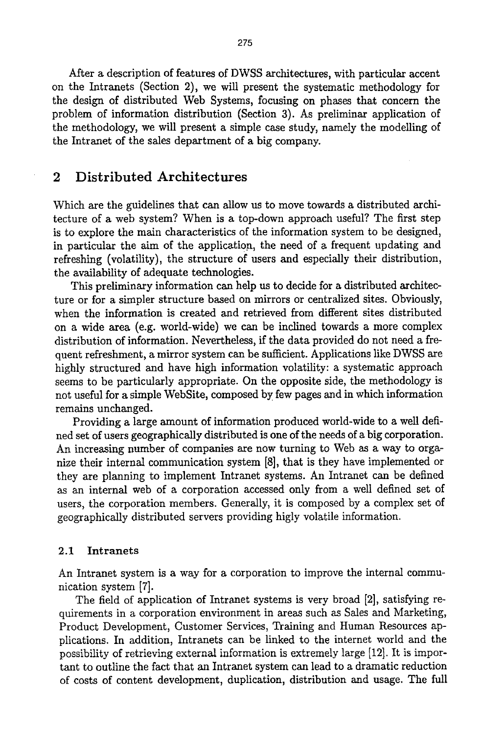After a description of features of DWSS architectures, with particular accent on the Intranets (Section 2), we will present the systematic methodology for the design of distributed Web Systems, focusing on phases that concern the problem of information distribution (Section 3). As preliminar application of the methodology, we will present a simple case study, namely the modelling of the Intranet of the sales department of a big company.

### **2 Distributed Architectures**

Which are the guidelines that can allow us to move towards a distributed architecture of a web system? When is a top-down approach useful? The first step is to explore the main characteristics of the information system to be designed, in particular the aim of the application, the need of a frequent updating and refreshing (volatility), the structure of users and especially their distribution, the availability of adequate technologies.

This preliminary information can help us to decide for a distributed architecture or for a simpler structure based on mirrors or centralized sites. Obviously, when the information is created and retrieved from different sites distributed on a wide area (e.g. world-wide) we can be inclined towards a more complex distribution of information. Nevertheless, if the data provided do not need a frequent refreshment, a mirror system can be sufficient. Applications like DWSS are highly structured and have high information volatility: a systematic approach seems to be particularly appropriate. On the opposite side, the methodology is not useful for a simple WebSite, composed by few pages and in which information remains unchanged.

Providing a large amount of information produced world-wide to a well defined set of users geographically distributed is one of the needs of a big corporation. An increasing number of companies are now turning to Web as a way to organize their internal communication system [8], that is they have implemented or they are planning to implement Intranet systems. An Intranet can be defined as an internal web of a corporation accessed only from a well defined set of users, the corporation members. Generally, it is composed by a complex set of geographically distributed servers providing higly volatile information.

#### 2.1 Intranets

An Intranet system is a way for a corporation to improve the internal communication system [7].

The field of application of Intranet systems is very broad [2], satisfying requirements in a corporation environment in areas such as Sales and Marketing, Product Development, Customer Services, Training and Human Resources applications. In addition, Intrauets can be linked to the internet world and the possibility of retrieving external information is extremely large [12]. It is important to outline the fact that an Intranet system can lead to a dramatic reduction of costs of content development, duplication, distribution and usage. The full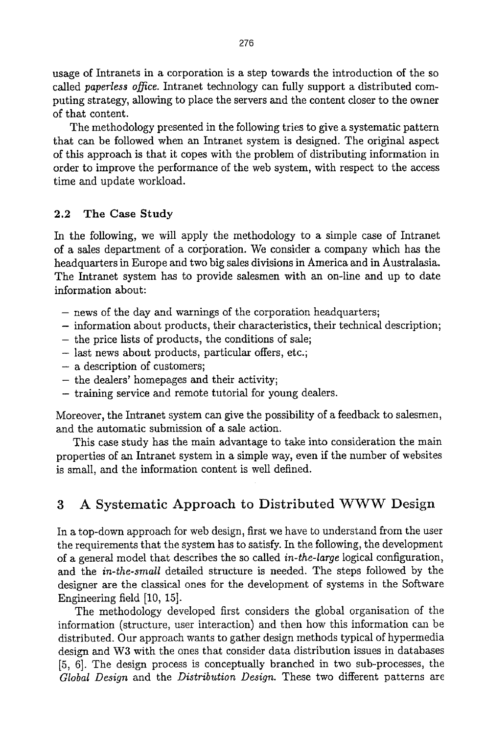usage of Intranets in a corporation is a step towards the introduction of the so called *paperless office*. Intranet technology can fully support a distributed computing strategy, allowing to place the servers and the content closer to the owner of that content.

The methodology presented in the following tries to give a systematic pattern that can be followed when an Intranet system is designed. The original aspect of this approach is that it copes with the problem of distributing information in order to improve the performance of the web system, with respect to the access time and update workload.

### 2.2 The Case Study

In the following, we will apply the methodology to a simple case of Intranet of a sales department of a corporation. We consider a company which has the headquarters in Europe and two big sales divisions in America and in Australasia. The Intranet system has to provide salesmen with an on-line and up to date information about:

- news of the day and warnings of the corporation headquarters;
- information about products, their characteristics, their technical description;
- the price lists of products, the conditions of sale;
- last news about products, particular offers, etc.;
- a description of customers;
- the dealers' homepages and their activity;
- training service and remote tutorial for young dealers.

Moreover, the Intranet system can give the possibility of a feedback to salesmen, and the automatic submission of a sale action.

This case study has the main advantage to take into consideration the main properties of an Intranet system in a simple way, even if the number of websites is small, and the information content is well defined.

## **3 A Systematic Approach to Distributed WWW Design**

In a top-down approach for web design, first we have to understand from the user the requirements that the system has to satisfy. In the following, the development of a general model that describes the so called *in-the-large* logical configuration, and the *in-the-small* detailed structure is needed. The steps followed by the designer are the classical ones for the development of systems in the Software Engineering field [10, 15].

The methodology developed first considers the global organisation of the information (structure, user interaction) and then how this information can be distributed. Our approach wants to gather design methods typical of hypermedia design and W3 with the ones that consider data distribution issues in databases [5, 6]. The design process is conceptually branched in two sub-processes, the *Global Design* and the *Distribution Design.* These two different patterns are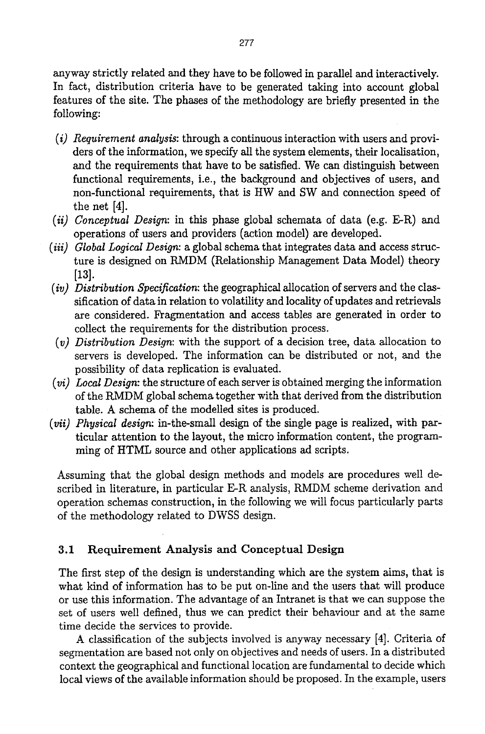anyway strictly related and they have to be followed in parallel and interactively. In fact, distribution criteria have to be generated taking into account global features of the site. The phases of the methodology are briefly presented in the following:

- *(i) Requirement analysis:* through a continuous interaction with users and providers of the information, we specify all the system elements, their localisation, and the requirements that have to be satisfied. We can distinguish between functional requirements, i.e., the background and objectives of users, and non-functional requirements, that is HW and SW and connection speed of the net [4].
- *(ii) Conceptual Design:* in this phase global schemata of data (e.g. E-R) and operations of users and providers (action model) are developed.
- *(iii) Global Logical Design:* a global schema that integrates data and access structure is designed on RMDM (Relationship Management Data Model) theory [13].
- *(iv) Distribution Specification:* the geographical allocation of servers and the classification of data in relation to volatility and locality of updates and retrievals are considered. Fragmentation and access tables are generated in order to collect the requirements for the distribution process.
- *(v) Distribution Design:* with the support of a decision tree, data allocation to servers is developed. The information can be distributed or not, and the possibility of data replication is evaluated.
- *(vi) Local Design:* the structure of each server is obtained merging the information of the RMDM global schema together with that derived from the distribution table. A schema of the modelled sites is produced.
- *(vii) Physical design:* in-the-small design of the single page is realized, with particular attention to the layout, the micro information content, the programming of HTML source and other applications ad scripts.

Assuming that the global design methods and models are procedures well described in literature, in particular E-R analysis, RMDM scheme derivation and operation schemas construction, in the following we will focus particularly parts of the methodology related to DWSS design.

### 3.1 Requirement Analysis and Conceptual Design

The first step of the design is understanding which are the system aims, that is what kind of information has to be put on-line and the users that will produce or use this information. The advantage of an Intranet is that we can suppose the set of users well defined, thus we can predict their behaviour and at the same time decide the services to provide.

A classification of the subjects involved is anyway necessary [4]. Criteria of segmentation are based not only on objectives and needs of users. In a distributed context the geographical and functional location are fundamental to decide which local views of the available information should be proposed. In the example, users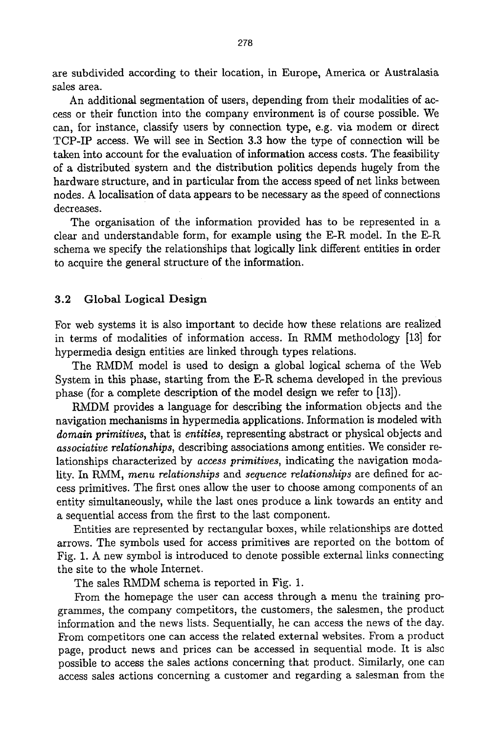are subdivided according to their location, in Europe, America or Australasia sales area.

An additional segmentation of users, depending from their modalities of access or their function into the company environment is of course possible. We can, for instance, classify users by connection type, e.g. via modem or direct TCP-IP access. We will see in Section 3.3 how the type of connection will be taken into account for the evaluation of information access costs. The feasibility of a distributed system and the distribution politics depends hugely from the hardware structure, and in particular from the access speed of net links between nodes. A localisation of data appears to be necessary as the speed of connections decreases.

The orgaaisation of the information provided has to be represented in a clear and understandable form, for example using the E-R model, In the E-R schema we specify the relationships that logically link different entities in order to acquire the general structure of the information.

#### 3.2 Global Logical Design

For web systems it is also important to decide how these relations are realized in terms of modalities of information access. In RMM methodology [13] for hypermedia design entities are linked through types relations.

The RMDM model is used to design a global logical schema of the Web System in this phase, starting from the E-R schema developed in the previous phase (for a complete description of the model design we refer to [13]).

RMDM provides a language for describing the information objects and the navigation mechanisms in hypermedia applications. Information is modeled with *domain primitives,* that is *entities,* representing abstract or physical objects and *associative relationships,* describing associations among entities. We consider relationships characterized by *access primitives,* indicating the navigation modality. In RMM, *menu relationships* and *sequence relationships* are defined for access primitives. The first ones allow the user to choose among components of an entity simultaneously, while the last ones produce a link towards an entity and a sequential access from the first to the last component.

Entities are represented by rectangular boxes, while relationships are dotted arrows. The symbols used for access primitives are reported on the bottom of Fig. 1. A new symbol is introduced to denote possible external links connecting the site to the whole Internet.

The sales RMDM schema is reported in Fig. 1.

From the homepage the user can access through a menu the training programmes, the company competitors, the customers, the salesmen, the product information and the news lists. Sequentially, he can access the news of the day. From competitors one can access the related external websites. From a product page, product news and prices can be accessed in sequential mode. It is alsc possible to access the sales actions concerning that product. Similarly, one can access sales actions concerning a customer and regarding a salesman from the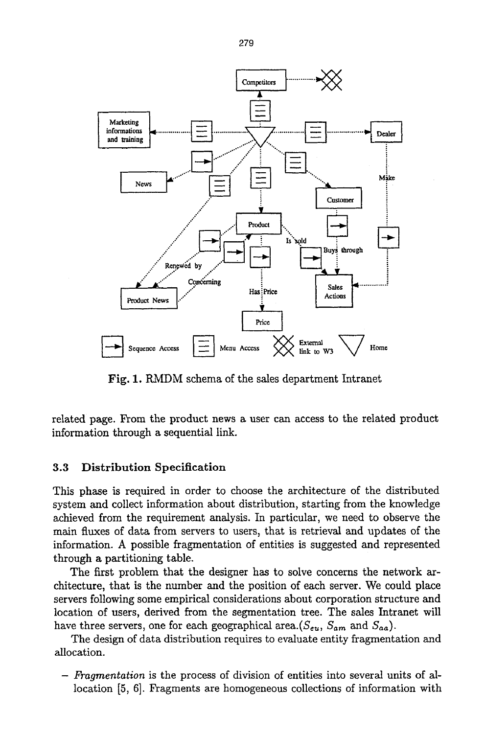

Fig. 1. RMDM schema of the sales department Intranet

related page. From the product news a user can access to the related product information through a sequential link.

#### 3.3 Distribution Specification

This phase is required in order to choose the architecture of the distributed system and collect information about distribution, starting from the knowledge achieved from the requirement analysis. In particular, we need to observe the main fluxes of data from servers to users, that is retrieval and updates of the information. A possible fragmentation of entities is suggested and represented through a partitioning table.

The first problem that the designer has to solve concerns the network architecture, that is the number and the position of each server. We could place servers following some empirical considerations about corporation structure and location of users, derived from the segmentation tree. The sales Intranet will have three servers, one for each geographical area.( $S_{eu}$ ,  $S_{am}$  and  $S_{aa}$ ).

The design of data distribution requires to evaluate entity fragmentation and allocation.

*- Fragmentation* is the process of division of entities into several units of allocation [5, 6]. Fragments are homogeneous collections of information with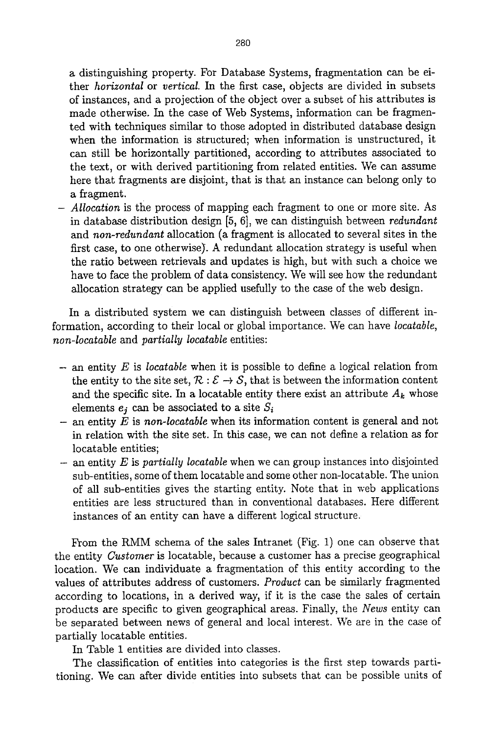a distinguishing property. For Database Systems, fragmentation can be either *horizontal* or *vertical. In* the first case, objects are divided in subsets of instances, and a projection of the object over a subset of his attributes is made otherwise. In the case of Web Systems, information can be fragmented with techniques similar to those adopted in distributed database design when the information is structured; when information is unstructured, it can still be horizontally partitioned, according to attributes associated to the text, or with derived partitioning from related entities. We can assume here that fragments are disjoint, that is that an instance can belong only to a fragment.

*- Allocation* is the process of mapping each fragment to one or more site. As in database distribution design [5, 6], we can distinguish between *redundant*  and *non-redundant* allocation (a fragment is allocated to several sites in the first case, to one otherwise). A redundant allocation strategy is useful when the ratio between retrievals and updates is high, but with such a choice we have to face the problem of data consistency. We will see how the redundant allocation strategy can be applied usefully to the case of the web design.

In a distributed system we can distinguish between classes of different information, according to their local or global importance. We can have *locatable, non-locatable* and *partially locatable* entities:

- an entity E is *locatable* when it is possible to define a logical relation from the entity to the site set,  $\mathcal{R} : \mathcal{E} \to \mathcal{S}$ , that is between the information content and the specific site. In a locatable entity there exist an attribute  $A_k$  whose elements  $e_i$  can be associated to a site  $S_i$
- an entity E is *non-locatable* when its information content is general and not in relation with the site set. In this case, we can not define a relation as for locatable entities;
- an entity E is *partially locatable* when we can group instances into disjointed sub-entities, some of them locatable and some other non-locatable. The union of all sub-entities gives the starting entity. Note that in web applications entities are less structured than in conventional databases. Here different instances of an entity can have a different logical structure.

From the RMM schema of the sales Intranet (Fig. 1) one can observe that the entity *Customer* is locatable, because a customer has a precise geographical location. We can individuate a fragmentation of this entity according to the values of attributes address of customers. *Product* can be similarly fragmented according to locations, in a derived way, if it is the case the sales of certain products are specific to given geographical areas. Finally, the *News* entity can be separated between news of general and local interest. We are in the case of partially locatable entities.

In Table 1 entities are divided into classes.

The classification of entities into categories is the first step towards partitioning. We can after divide entities into subsets that can be possible units of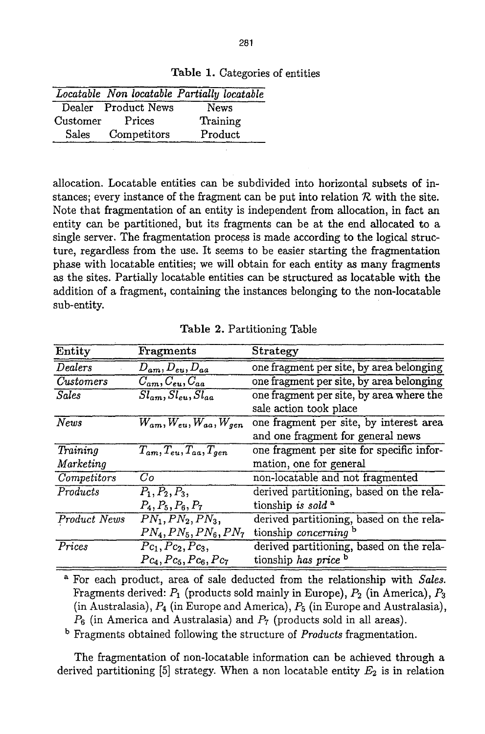Table 1. Categories of entities

|                   |                     | Locatable Non locatable Partially locatable |
|-------------------|---------------------|---------------------------------------------|
|                   | Dealer Product News | <b>News</b>                                 |
| $\emph{Customer}$ | Prices              | Training                                    |
| Sales             | Competitors         | Product                                     |

allocation. Locatable entities can be subdivided into horizontal subsets of instances; every instance of the fragment can be put into relation  $R$  with the site. Note that fragmentation of an entity is independent from allocation, in fact an entity can be partitioned, but its fragments can be at the end allocated to a single server. The fragmentation process is made according to the logical structure, regardless from the use. It seems to be easier starting the fragmentation phase with locatable entities; we will obtain for each entity as many fragments as the sites. Partially locatable entities can be structured as locatable with the addition of a fragment, containing the instances belonging to the non-locatable sub-entity.

| Entity              | Fragments                                                    | Strategy                                  |
|---------------------|--------------------------------------------------------------|-------------------------------------------|
| Dealers             | $\overline{D_{am}}, D_{eu}, D_{aa}$                          | one fragment per site, by area belonging  |
| <b>Customers</b>    | $\overline{C_{am}, C_{eu}, C_{aa}}$                          | one fragment per site, by area belonging  |
| <b>Sales</b>        | $\overline{Sl_{am}}, \overline{Sl_{eu}}, \overline{Sl_{aa}}$ | one fragment per site, by area where the  |
|                     |                                                              | sale action took place                    |
| News                | $W_{am}, W_{eu}, W_{aa}, W_{gen}$                            | one fragment per site, by interest area   |
|                     |                                                              | and one fragment for general news         |
| Training            | $T_{am}, T_{eu}, T_{aa}, T_{gen}$                            | one fragment per site for specific infor- |
| Marketing           |                                                              | mation, one for general                   |
| Competitors         | Co                                                           | non-locatable and not fragmented          |
| Products            | $P_1, P_2, P_3,$                                             | derived partitioning, based on the rela-  |
|                     | $P_4, P_5, P_6, P_7$                                         | tionship is sold <sup>a</sup>             |
| <b>Product News</b> | $PN_1, PN_2, PN_3,$                                          | derived partitioning, based on the rela-  |
|                     | $PN_4, PN_5, PN_6, PN_7$                                     | tionship concerning b                     |
| Prices              | $Pc_1, Pc_2, Pc_3,$                                          | derived partitioning, based on the rela-  |
|                     | $P_{c_4}, P_{c_5}, P_{c_6}, P_{c_7}$                         | tionship has price b                      |

Table 2. Partitioning Table

a For each product, area of sale deducted from the relationship with *Sales.*  Fragments derived:  $P_1$  (products sold mainly in Europe),  $P_2$  (in America),  $P_3$ (in Australasia),  $P_4$  (in Europe and America),  $P_5$  (in Europe and Australasia),  $P_6$  (in America and Australasia) and  $P_7$  (products sold in all areas).

b Fragments obtained following the structure of *Products* fragmentation.

The fragmentation of non-locatable information can be achieved through a derived partitioning [5] strategy. When a non locatable entity  $E_2$  is in relation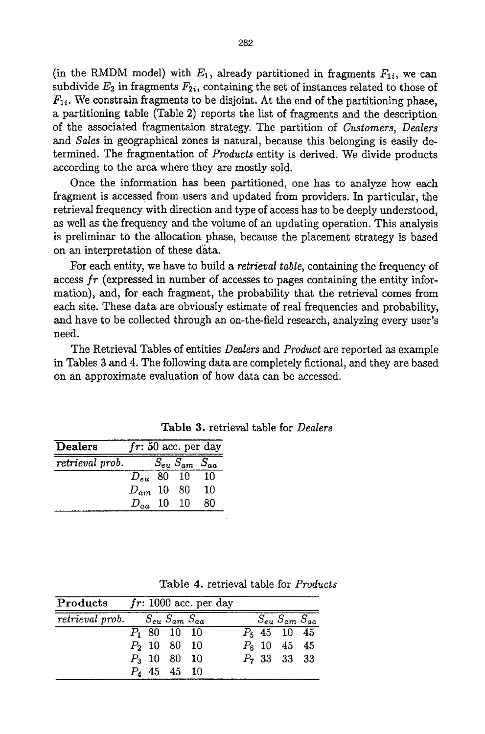(in the RMDM model) with  $E_1$ , already partitioned in fragments  $F_{1i}$ , we can subdivide  $E_2$  in fragments  $F_{2i}$ , containing the set of instances related to those of  $F_{1i}$ . We constrain fragments to be disjoint. At the end of the partitioning phase, a partitioning table (Table 2) reports the list of fragments and the description of the associated fragmentalon strategy. The partition of *Customers, Dealers and Sales* in geographical zones is natural, because this belonging is easily determined. The fragmentation of *Products* entity is derived. We divide products according to the area where they are mostly sold.

Once the information has been partitioned, one has to analyze how each fragment is accessed from users and updated from providers. In particular, the retrieval frequency with direction and type of access has to be deeply understood, as well as the frequency and the volume of an updating operation. This analysis is preliminar to the allocation phase, because the placement strategy is based on an interpretation of these data.

For each entity, we have to build a *retrieval table,* containing the frequency of access *fr* (expressed in number of accesses to pages containing the entity information), and, for each fragment, the probability that the retrieval comes from each site. These data are obviously estimate of real frequencies and probability, and have to be collected through an on-the-field research, analyzing every user's need.

The Retrieval Tables of entities *Dealers* and *Product are* reported as example in Tables 3 and 4. The following data are completely fictional, and they are based on an approximate evaluation of how data can be accessed.

| Dealers         |                |                            | $fr: 50$ acc. per day |
|-----------------|----------------|----------------------------|-----------------------|
| retrieval prob. |                | $S_{eu}$ $S_{am}$ $S_{aa}$ |                       |
|                 | $D_{eu}$ 80 10 |                            | - 10                  |
|                 | $D_{am}$ 10 80 |                            | 10                    |
|                 | $D_{aa}$ 10 10 |                            | 80                    |

Table 3. retrieval table for *Dealers* 

| <b>Products</b> $fr: 1000$ acc. per day |                                        |  |                |  |  |                            |  |
|-----------------------------------------|----------------------------------------|--|----------------|--|--|----------------------------|--|
|                                         | retrieval prob. $S_{eu} S_{am} S_{aa}$ |  |                |  |  | $S_{eu}$ $S_{am}$ $S_{aa}$ |  |
|                                         |                                        |  | $P_1$ 80 10 10 |  |  | $P_5$ 45 10 45             |  |
|                                         |                                        |  | $P_2$ 10 80 10 |  |  | $P_6$ 10 45 45             |  |
|                                         |                                        |  | $P_3$ 10 80 10 |  |  | $P_7$ 33 33 33             |  |
|                                         |                                        |  | $P_4$ 45 45 10 |  |  |                            |  |

Table 4. retrieval table for *Products*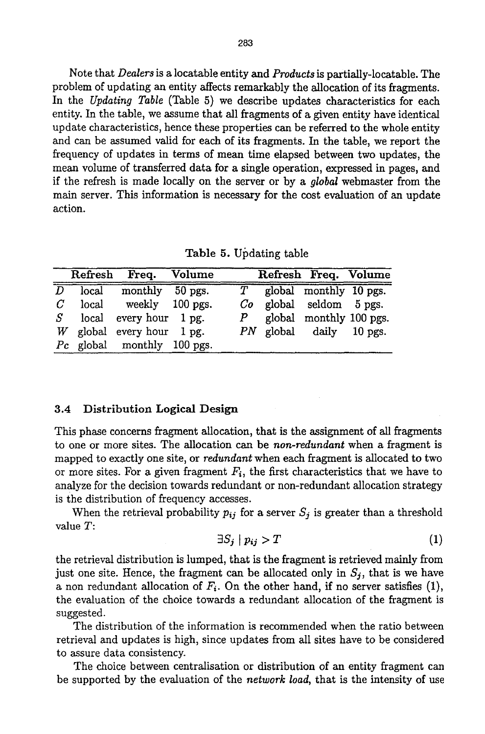Note that *Dealers* is a locatable entity and *Products* is partially-locatable. The problem of updating an entity affects remarkably the allocation of its fragments. In the *Updating Table* (Table 5) we describe updates characteristics for each entity. In the table, we assume that all fragments of a given entity have identical update characteristics, hence these properties can be referred to the whole entity and can be assumed valid for each of its fragments. In the table, we report the frequency of updates in terms of mean time elapsed between two updates, the mean volume of transferred data for a single operation, expressed in pages, and if the refresh is made locally on the server or by a *global* webmaster from the main server. This information is necessary for the cost evaluation of an update action.

Table 5. Updating table

|       |           | Refresh Freq. Volume        |  | Refresh Freq. Volume        |  |
|-------|-----------|-----------------------------|--|-----------------------------|--|
|       | $D$ local | monthly 50 pgs.             |  | $T$ global monthly 10 pgs.  |  |
| $\,G$ |           | local weekly 100 pgs.       |  | $Co$ global seldom $5$ pgs. |  |
|       |           | $S$ local every hour 1 pg.  |  | $P$ global monthly 100 pgs. |  |
|       |           | W global every hour $1$ pg. |  | PN global daily 10 pgs.     |  |
|       |           | Pc global monthly 100 pgs.  |  |                             |  |

#### 3.4 Distribution Logical **Design**

This phase concerns fragment allocation, that is the assignment of all fragments to one or more sites. The allocation can be *non-redundant* when a fragment is mapped to exactly one site, or *redundant* when each fragment is allocated to two or more sites. For a given fragment  $F_i$ , the first characteristics that we have to analyze for the decision towards redundant or non-redundant allocation strategy is the distribution of frequency accesses.

When the retrieval probability  $p_{ij}$  for a server  $S_j$  is greater than a threshold value T:

$$
\exists S_j \mid p_{ij} > T \tag{1}
$$

the retrieval distribution is lumped, that is the fragment is retrieved mainly from just one site. Hence, the fragment can be allocated only in  $S_j$ , that is we have a non redundant allocation of  $F_i$ . On the other hand, if no server satisfies (1), the evaluation of the choice towards a redundant allocation of the fragment is suggested.

The distribution of the information is recommended when the ratio between retrieval and updates is high, since updates from all sites have to be considered to assure data consistency.

The choice between centralisation or distribution of an entity fragment can be supported by the evaluation of the *network load,* that is the intensity of use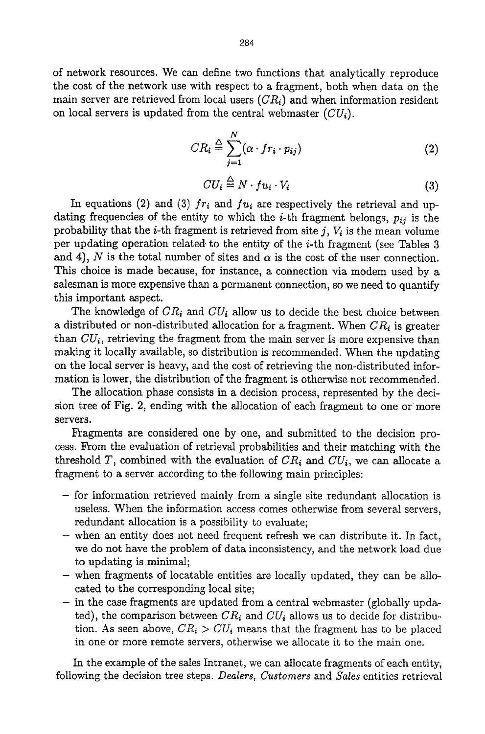of network resources. We can define two functions that analytically reproduce the cost of the network use with respect to a fragment, both when data on the main server are retrieved from local users *(CRi)* and when information resident on local servers is updated from the central webmaster *(CUi).* 

$$
CR_i \stackrel{\triangle}{=} \sum_{j=1}^{N} (\alpha \cdot fr_i \cdot p_{ij})
$$
 (2)

$$
CU_i \stackrel{\triangle}{=} N \cdot fu_i \cdot V_i \tag{3}
$$

In equations (2) and (3)  $fr_i$  and  $fu_i$  are respectively the retrieval and updating frequencies of the entity to which the *i*-th fragment belongs,  $p_{ij}$  is the probability that the *i*-th fragment is retrieved from site j,  $V_i$  is the mean volume per updating operation related, to the entity of the i-th fragment (see Tables 3 and 4), N is the total number of sites and  $\alpha$  is the cost of the user connection. This choice is made because, for instance, a connection via modem used by a salesman is more expensive than a permanent connection, so we need to quantify this important aspect.

The knowledge of  $CR_i$  and  $CU_i$  allow us to decide the best choice between a distributed or non-distributed allocation for a fragment. When  $CR_i$  is greater than  $CU_i$ , retrieving the fragment from the main server is more expensive than making it locally available, so distribution is recommended. When the updating on the local server is heavy, and the cost of retrieving the non-distributed information is lower, the distribution of the fragment is otherwise not recommended.

The allocation phase consists in a decision process, represented by the decision tree of Fig. 2, ending with the allocation of each fragment to one or: more servers.

Fragments are considered one by one, and submitted to the decision process. From the evaluation of retrieval probabilities and their matching with the threshold T, combined with the evaluation of  $CR_i$  and  $CU_i$ , we can allocate a fragment to a server according to the following main principles:

- for information retrieved mainly from a single site redundant allocation is useless. When the information access comes otherwise from several servers, redundant allocation is a possibility to evaluate;
- when an entity does not need frequent refresh we can distribute it. In fact, we do not have the problem of data inconsistency, and the network load due to updating is minimal;
- when fragments of locatable entities are locally updated, they can be allocated to the corresponding local site;
- in the case fragments are updated from a central webmaster (globally updated), the comparison between  $CR_i$  and  $CU_i$  allows us to decide for distribution. As seen above,  $CR_i > CU_i$  means that the fragment has to be placed in one or more remote servers, otherwise we allocate it to the main one.

In the example of the sales Intranet, we can allocate fragments of each entity, following the decision tree steps. *Dealers, Customers* and *Sales* entities retrieval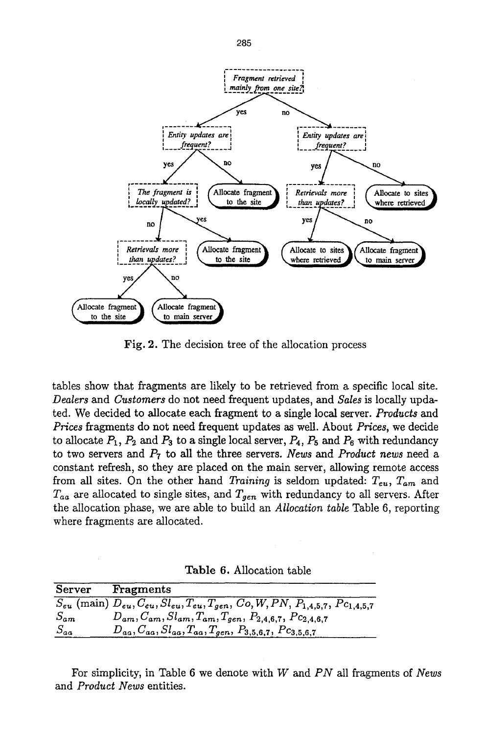

Fig. 2. The decision tree of the allocation process

tables show that fragments are likely to be retrieved from a specific local site. *Dealers and Customers* do not need frequent updates, and *Sales* is locally updated. We decided to allocate each fragment to a single local server. *Products and Prices* fragments do not need frequent updates as well. About *Prices,* we decide to allocate  $P_1$ ,  $P_2$  and  $P_3$  to a single local server,  $P_4$ ,  $P_5$  and  $P_6$  with redundancy to two servers and P7 to all the three servers. *News and Product news* need a constant refresh, so they are placed on the main server, allowing remote access from all sites. On the other hand *Training* is seldom updated:  $T_{eu}$ ,  $T_{am}$  and  $T_{aa}$  are allocated to single sites, and  $T_{gen}$  with redundancy to all servers. After the allocation phase, we are able to build an *Allocation table* Table 6, reporting where fragments are allocated.

Table 6. Allocation table

|          | Server Fragments                                                                                                               |
|----------|--------------------------------------------------------------------------------------------------------------------------------|
|          | $S_{eu}$ (main) $D_{eu}$ , $C_{eu}$ , $Sl_{eu}$ , $T_{eu}$ , $T_{gen}$ , $Co$ , $W$ , $PN$ , $P_{1,4,5,7}$ , $P_{C_{1,4,5,7}}$ |
| $S_{am}$ | $D_{am}, C_{am}, Sl_{am}, T_{am}, T_{gen}, P_{2,4,6,7}, P_{2,4,6,7}$                                                           |
| $S_{aa}$ | $D_{aa}, C_{aa}, S l_{aa}, T_{aa}, T_{gen}, P_{3,5,6,7}, P_{3,5,6,7}$                                                          |

For simplicity, in Table 6 we denote with W and *PN* all fragments of *News*  and *Product News* entities.

285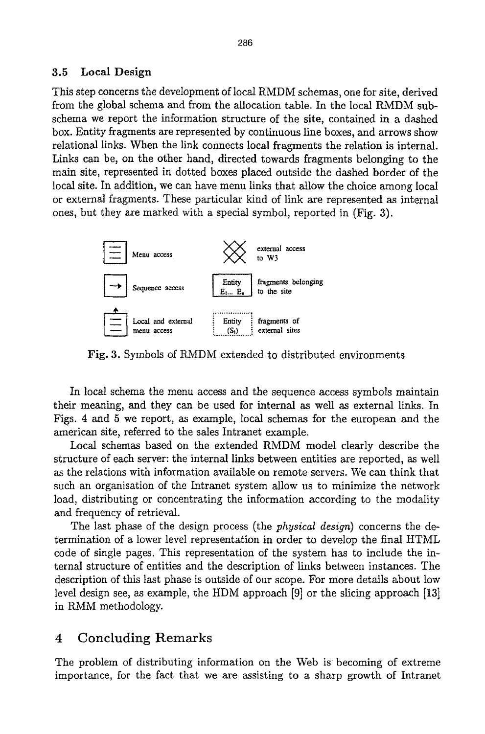#### **3.5 Local Design**

This step concerns the development of local RMDM schemas, one for site, derived from the global schema and from the allocation table. In the local RMDM subschema we report the information structure of the site, contained in a dashed box. Entity fragments are represented by continuous line boxes, and arrows show relational links. When the link connects local fragments the relation is internal. Links can be, on the other hand, directed towards fragments belonging to the main site, represented in dotted boxes placed outside the dashed border of the local site. In addition, we can have menu links that allow the choice among local or external fragments. These particular kind of link are represented as internal ones, but they are marked with a special symbol, reported in (Fig. 3).



Fig. 3. Symbols of RMDM extended to distributed environments

In local schema the menu access and the sequence access symbols maintain their meaning, and they can be used for internal as well as external links. In Figs. 4 and 5 we report, as example, local schemas for the european and the american site, referred to the sales Intranet example.

Local schemas based on the extended RMDM model clearly describe the structure of each server: the internal links between entities are reported, as well as the relations with information available on remote servers. We can think that such an organisation of the Intranet system allow us to minimize the network load, distributing or concentrating the information according to the modality and frequency of retrieval.

The last phase of the design process (the *physical design)* concerns the determination of a lower level representation in order to develop the final HTML code of single pages. This representation of the system has to include the internal structure of entities and the description of links between instances. The description of this last phase is outside of our scope. For more details about low level design see, as example, the HDM approach [9] or the slicing approach [13] in RMM methodology.

### 4 Concluding Remarks

The problem of distributing information on the Web is becoming of extreme importance, for the fact that we are assisting to a sharp growth of Intranet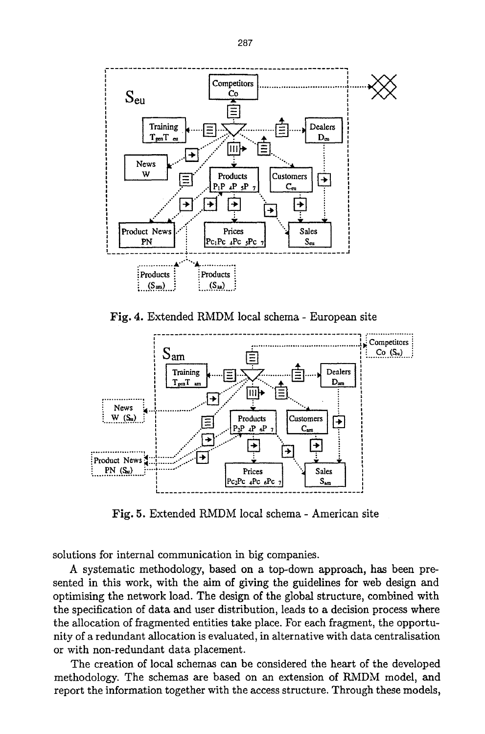

Fig. 4. Extended RMDM local schema - European site



Fig. 5. Extended RMDM local schema - American site

solutions for internal communication in big companies.

A systematic methodology, based on a top-down approach, has been presented in this work, with the aim of giving the guidelines for web design and optimising the network load. The design of the global structure, combined with the specification of data and user distribution, leads to a decision process where the allocation of fragmented entities take place. For each fragment, the opportunity of a redundant allocation is evaluated, in alternative with data centraiisation or with non-redundant data placement.

The creation of local schemas can be considered the heart of the developed methodology. The schemas are based on an extension of RMDM model, and report the information together with the access structure. Through these models,